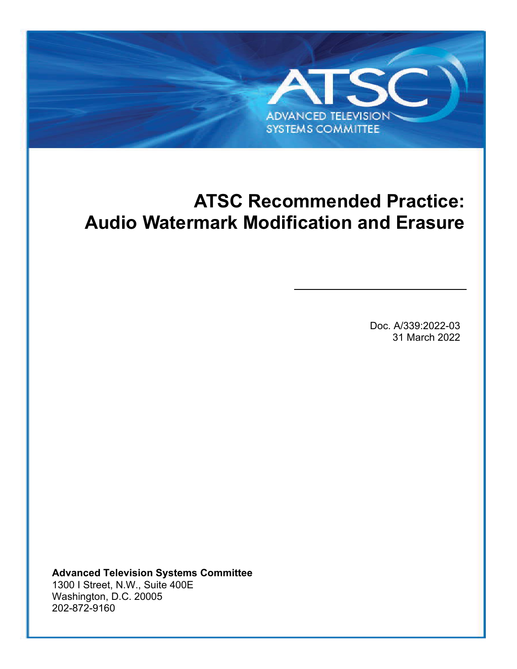# <span id="page-0-0"></span>**ATSC Recommended Practice: Audio Watermark Modification and Erasure**

**ADVANCED TELEVISION SYSTEMS COMMITTEE** 

ATSC A/339:2022-03 [Audio Watermark Modification and Erasure](#page-0-0) 31 March 2022

Doc. A/339:2022-03 31 March 2022

**Advanced Television Systems Committee** 1300 I Street, N.W., Suite 400E Washington, D.C. 20005 202-872-9160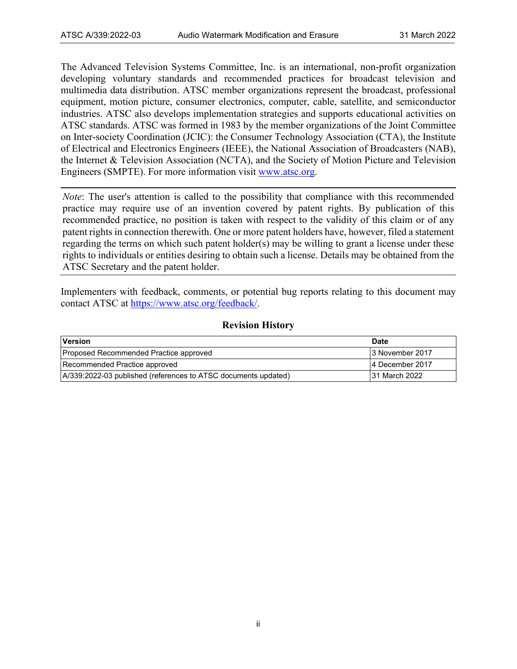The Advanced Television Systems Committee, Inc. is an international, non-profit organization developing voluntary standards and recommended practices for broadcast television and multimedia data distribution. ATSC member organizations represent the broadcast, professional equipment, motion picture, consumer electronics, computer, cable, satellite, and semiconductor industries. ATSC also develops implementation strategies and supports educational activities on ATSC standards. ATSC was formed in 1983 by the member organizations of the Joint Committee on Inter-society Coordination (JCIC): the Consumer Technology Association (CTA), the Institute of Electrical and Electronics Engineers (IEEE), the National Association of Broadcasters (NAB), the Internet & Television Association (NCTA), and the Society of Motion Picture and Television Engineers (SMPTE). For more information visit [www.atsc.org.](http://www.atsc.org/)

*Note*: The user's attention is called to the possibility that compliance with this recommended practice may require use of an invention covered by patent rights. By publication of this recommended practice, no position is taken with respect to the validity of this claim or of any patent rights in connection therewith. One or more patent holders have, however, filed a statement regarding the terms on which such patent holder(s) may be willing to grant a license under these rights to individuals or entities desiring to obtain such a license. Details may be obtained from the ATSC Secretary and the patent holder.

Implementers with feedback, comments, or potential bug reports relating to this document may contact ATSC at [https://www.atsc.org/feedback/.](https://www.atsc.org/feedback/)

#### **Revision History**

| Version                                                        | <b>Date</b>      |
|----------------------------------------------------------------|------------------|
| Proposed Recommended Practice approved                         | l3 November 2017 |
| Recommended Practice approved                                  | 4 December 2017  |
| A/339:2022-03 published (references to ATSC documents updated) | 31 March 2022    |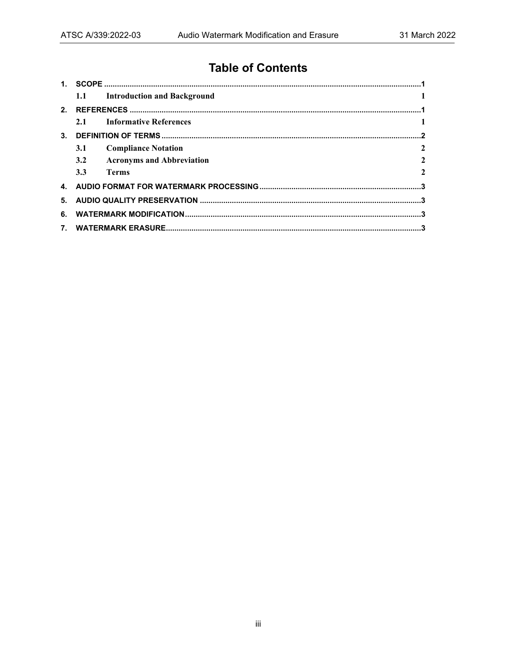## **Table of Contents**

| 1.1        | <b>Introduction and Background</b> |              |  |
|------------|------------------------------------|--------------|--|
|            |                                    |              |  |
| 2.1        | <b>Informative References</b>      |              |  |
|            |                                    |              |  |
| <b>3.1</b> | <b>Compliance Notation</b>         | $\mathbf{2}$ |  |
| 3.2        | <b>Acronyms and Abbreviation</b>   | $\mathbf{2}$ |  |
| 3.3        | <b>Terms</b>                       | $\mathbf{2}$ |  |
|            |                                    |              |  |
|            |                                    |              |  |
|            |                                    |              |  |
|            |                                    |              |  |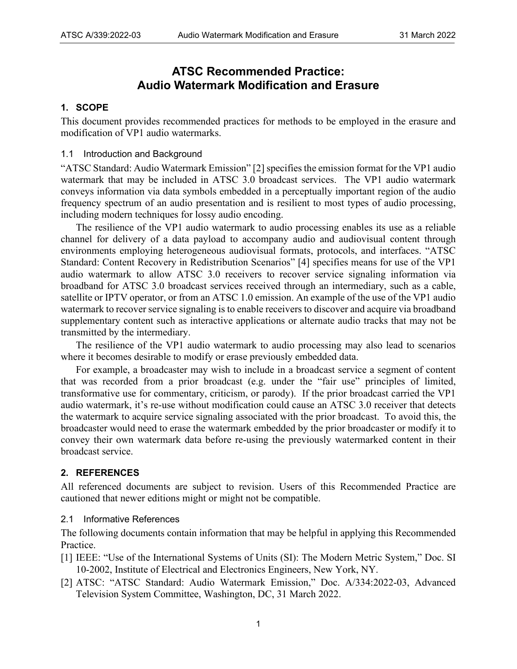### **ATSC Recommended Practice: Audio Watermark Modification and Erasure**

#### <span id="page-3-0"></span>**1. SCOPE**

This document provides recommended practices for methods to be employed in the erasure and modification of VP1 audio watermarks.

#### <span id="page-3-1"></span>1.1 Introduction and Background

["ATSC Standard: Audio Watermark Emission"](#page-3-4) [\[2\]](#page-3-5) specifies the emission format for the VP1 audio watermark that may be included in ATSC 3.0 broadcast services. The VP1 audio watermark conveys information via data symbols embedded in a perceptually important region of the audio frequency spectrum of an audio presentation and is resilient to most types of audio processing, including modern techniques for lossy audio encoding.

The resilience of the VP1 audio watermark to audio processing enables its use as a reliable channel for delivery of a data payload to accompany audio and audiovisual content through environments employing heterogeneous audiovisual formats, protocols, and interfaces. ["ATSC](#page-4-4)  [Standard: Content Recovery in Redistribution Scenarios"](#page-4-4) [\[4\]](#page-4-5) specifies means for use of the VP1 audio watermark to allow ATSC 3.0 receivers to recover service signaling information via broadband for ATSC 3.0 broadcast services received through an intermediary, such as a cable, satellite or IPTV operator, or from an ATSC 1.0 emission. An example of the use of the VP1 audio watermark to recover service signaling is to enable receivers to discover and acquire via broadband supplementary content such as interactive applications or alternate audio tracks that may not be transmitted by the intermediary.

The resilience of the VP1 audio watermark to audio processing may also lead to scenarios where it becomes desirable to modify or erase previously embedded data.

For example, a broadcaster may wish to include in a broadcast service a segment of content that was recorded from a prior broadcast (e.g. under the "fair use" principles of limited, transformative use for commentary, criticism, or parody). If the prior broadcast carried the VP1 audio watermark, it's re-use without modification could cause an ATSC 3.0 receiver that detects the watermark to acquire service signaling associated with the prior broadcast. To avoid this, the broadcaster would need to erase the watermark embedded by the prior broadcaster or modify it to convey their own watermark data before re-using the previously watermarked content in their broadcast service.

#### <span id="page-3-2"></span>**2. REFERENCES**

All referenced documents are subject to revision. Users of this Recommended Practice are cautioned that newer editions might or might not be compatible.

#### <span id="page-3-3"></span>2.1 Informative References

The following documents contain information that may be helpful in applying this Recommended Practice.

- <span id="page-3-6"></span>[1] IEEE: "Use of the International Systems of Units (SI): The Modern Metric System," Doc. SI 10-2002, Institute of Electrical and Electronics Engineers, New York, NY.
- <span id="page-3-5"></span><span id="page-3-4"></span>[2] ATSC: "ATSC Standard: Audio Watermark Emission," Doc. A/334:2022-03, Advanced Television System Committee, Washington, DC, 31 March 2022.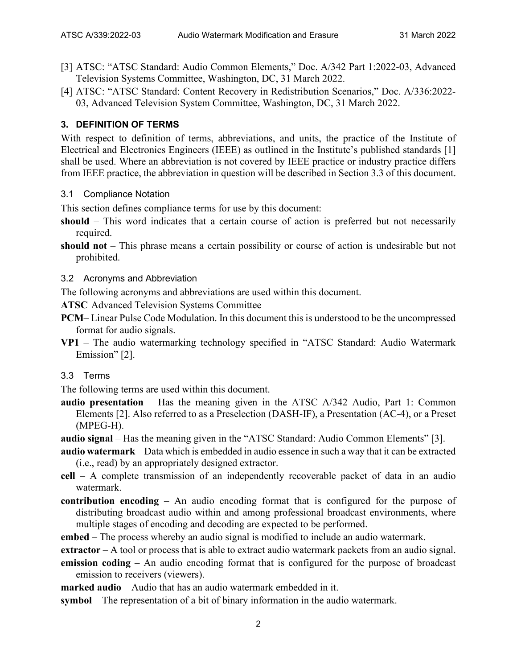- <span id="page-4-7"></span><span id="page-4-6"></span>[3] ATSC: "ATSC Standard: Audio Common Elements," Doc. A/342 Part 1:2022-03, Advanced Television Systems Committee, Washington, DC, 31 March 2022.
- <span id="page-4-5"></span><span id="page-4-4"></span>[4] ATSC: "ATSC Standard: Content Recovery in Redistribution Scenarios," Doc. A/336:2022- 03, Advanced Television System Committee, Washington, DC, 31 March 2022.

#### <span id="page-4-0"></span>**3. DEFINITION OF TERMS**

With respect to definition of terms, abbreviations, and units, the practice of the Institute of Electrical and Electronics Engineers (IEEE) as outlined in the Institute's published standards [\[1\]](#page-3-6) shall be used. Where an abbreviation is not covered by IEEE practice or industry practice differs from IEEE practice, the abbreviation in question will be described in Section 3.3 of this document.

<span id="page-4-1"></span>3.1 Compliance Notation

This section defines compliance terms for use by this document:

- **should** This word indicates that a certain course of action is preferred but not necessarily required.
- **should not** This phrase means a certain possibility or course of action is undesirable but not prohibited.
- <span id="page-4-2"></span>3.2 Acronyms and Abbreviation

The following acronyms and abbreviations are used within this document.

- **ATSC** Advanced Television Systems Committee
- **PCM** Linear Pulse Code Modulation. In this document this is understood to be the uncompressed format for audio signals.
- **VP1**  The audio watermarking technology specified in ["ATSC Standard: Audio Watermark](#page-3-4)  [Emission"](#page-3-4) [\[2\].](#page-3-5)
- <span id="page-4-3"></span>3.3 Terms

The following terms are used within this document.

- **audio presentation**  Has the meaning given in the ATSC A/342 Audio, Part 1: Common Elements [2]. Also referred to as a Preselection (DASH-IF), a Presentation (AC-4), or a Preset (MPEG-H).
- **audio signal**  Has the meaning given in the ["ATSC Standard: Audio Common Elements"](#page-4-6) [\[3\].](#page-4-7)
- **audio watermark**  Data which is embedded in audio essence in such a way that it can be extracted (i.e., read) by an appropriately designed extractor.
- **cell**  A complete transmission of an independently recoverable packet of data in an audio watermark.
- **contribution encoding**  An audio encoding format that is configured for the purpose of distributing broadcast audio within and among professional broadcast environments, where multiple stages of encoding and decoding are expected to be performed.
- **embed**  The process whereby an audio signal is modified to include an audio watermark.
- **extractor**  A tool or process that is able to extract audio watermark packets from an audio signal.
- **emission coding**  An audio encoding format that is configured for the purpose of broadcast emission to receivers (viewers).
- **marked audio**  Audio that has an audio watermark embedded in it.
- **symbol**  The representation of a bit of binary information in the audio watermark.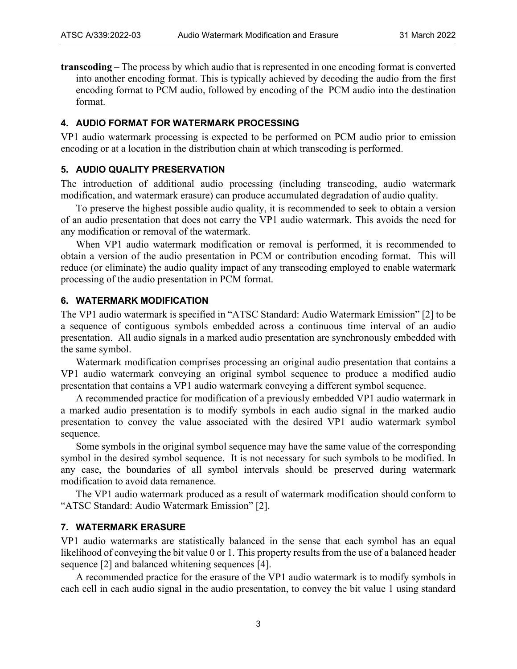**transcoding** – The process by which audio that is represented in one encoding format is converted into another encoding format. This is typically achieved by decoding the audio from the first encoding format to PCM audio, followed by encoding of the PCM audio into the destination format.

#### <span id="page-5-0"></span>**4. AUDIO FORMAT FOR WATERMARK PROCESSING**

VP1 audio watermark processing is expected to be performed on PCM audio prior to emission encoding or at a location in the distribution chain at which transcoding is performed.

#### <span id="page-5-1"></span>**5. AUDIO QUALITY PRESERVATION**

The introduction of additional audio processing (including transcoding, audio watermark modification, and watermark erasure) can produce accumulated degradation of audio quality.

To preserve the highest possible audio quality, it is recommended to seek to obtain a version of an audio presentation that does not carry the VP1 audio watermark. This avoids the need for any modification or removal of the watermark.

When VP1 audio watermark modification or removal is performed, it is recommended to obtain a version of the audio presentation in PCM or contribution encoding format. This will reduce (or eliminate) the audio quality impact of any transcoding employed to enable watermark processing of the audio presentation in PCM format.

#### <span id="page-5-2"></span>**6. WATERMARK MODIFICATION**

The VP1 audio watermark is specified in ["ATSC Standard: Audio Watermark Emission"](#page-3-4) [\[2\]](#page-3-5) to be a sequence of contiguous symbols embedded across a continuous time interval of an audio presentation. All audio signals in a marked audio presentation are synchronously embedded with the same symbol.

Watermark modification comprises processing an original audio presentation that contains a VP1 audio watermark conveying an original symbol sequence to produce a modified audio presentation that contains a VP1 audio watermark conveying a different symbol sequence.

A recommended practice for modification of a previously embedded VP1 audio watermark in a marked audio presentation is to modify symbols in each audio signal in the marked audio presentation to convey the value associated with the desired VP1 audio watermark symbol sequence.

Some symbols in the original symbol sequence may have the same value of the corresponding symbol in the desired symbol sequence. It is not necessary for such symbols to be modified. In any case, the boundaries of all symbol intervals should be preserved during watermark modification to avoid data remanence.

The VP1 audio watermark produced as a result of watermark modification should conform to ["ATSC Standard: Audio Watermark Emission"](#page-3-4) [\[2\].](#page-3-5)

#### <span id="page-5-3"></span>**7. WATERMARK ERASURE**

VP1 audio watermarks are statistically balanced in the sense that each symbol has an equal likelihood of conveying the bit value 0 or 1. This property results from the use of a balanced header sequence [\[2\]](#page-3-5) and balanced whitening sequences [\[4\].](#page-4-5)

A recommended practice for the erasure of the VP1 audio watermark is to modify symbols in each cell in each audio signal in the audio presentation, to convey the bit value 1 using standard